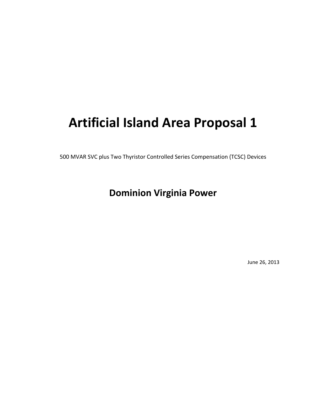# **Artificial Island Area Proposal 1**

500 MVAR SVC plus Two Thyristor Controlled Series Compensation (TCSC) Devices

## **Dominion Virginia Power**

June 26, 2013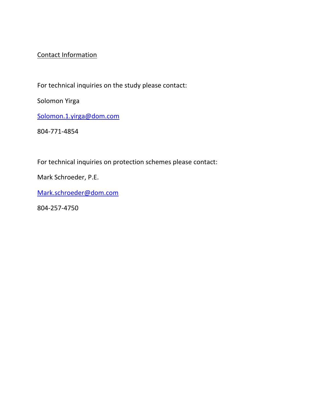### Contact Information

For technical inquiries on the study please contact:

Solomon Yirga

Solomon.1.yirga@dom.com

804‐771‐4854

For technical inquiries on protection schemes please contact:

Mark Schroeder, P.E.

Mark.schroeder@dom.com

804‐257‐4750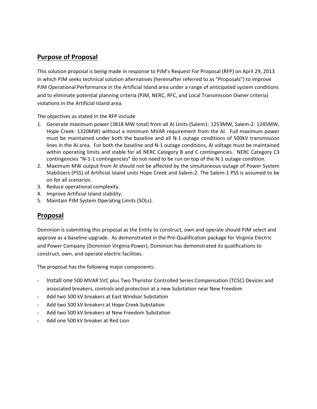#### **Purpose of Proposal**

This solution proposal is being made in response to PJM's Request For Proposal (RFP) on April 29, 2013 in which PJM seeks technical solution alternatives (hereinafter referred to as "Proposals") to improve PJM Operational Performance in the Artificial Island area under a range of anticipated system conditions and to eliminate potential planning criteria (PJM, NERC, RFC, and Local Transmission Owner criteria) violations in the Artificial Island area.

The objectives as stated in the RFP include

- 1. Generate maximum power (3818 MW total) from all AI Units (Salem1: 1253MW, Salem‐2: 1245MW, Hope Creek: 1320MW) without a minimum MVAR requirement from the AI. Full maximum power must be maintained under both the baseline and all N‐1 outage conditions of 500kV transmission lines in the AI area. For both the baseline and N-1 outage conditions, AI voltage must be maintained within operating limits and stable for all NERC Category B and C contingencies. NERC Category C3 contingencies "N-1-1 contingencies" do not need to be run on top of the N-1 outage condition.
- 2. Maximum MW output from AI should not be affected by the simultaneous outage of Power System Stabilizers (PSS) of Artificial Island units Hope Creek and Salem‐2. The Salem‐1 PSS is assumed to be on for all scenarios.
- 3. Reduce operational complexity.
- 4. Improve Artificial Island stability.
- 5. Maintain PJM System Operating Limits (SOLs).

#### **Proposal**

Dominion is submitting this proposal as the Entity to construct, own and operate should PJM select and approve as a baseline upgrade. As demonstrated in the Pre‐Qualification package for Virginia Electric and Power Company (Dominion Virginia Power), Dominion has demonstrated its qualifications to construct, own, and operate electric facilities.

The proposal has the following major components:

- ‐ Install one 500 MVAR SVC plus Two Thyristor Controlled Series Compensation (TCSC) Devices and associated breakers, controls and protection at a new Substation near New Freedom
- ‐ Add two 500 kV breakers at East Windsor Substation
- Add two 500 kV breakers at Hope Creek Substation
- Add two 500 kV breakers at New Freedom Substation
- ‐ Add one 500 kV breaker at Red Lion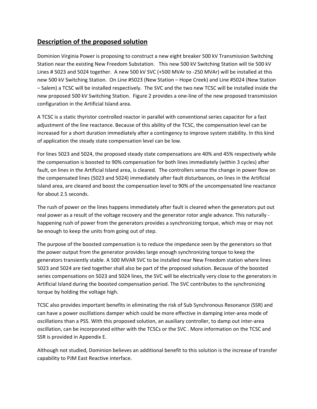#### **Description of the proposed solution**

Dominion Virginia Power is proposing to construct a new eight breaker 500 kV Transmission Switching Station near the existing New Freedom Substation. This new 500 kV Switching Station will tie 500 kV Lines # 5023 and 5024 together. A new 500 kV SVC (+500 MVAr to -250 MVAr) will be installed at this new 500 kV Switching Station. On Line #5023 (New Station – Hope Creek) and Line #5024 (New Station – Salem) a TCSC will be installed respectively. The SVC and the two new TCSC will be installed inside the new proposed 500 kV Switching Station. Figure 2 provides a one‐line of the new proposed transmission configuration in the Artificial Island area.

A TCSC is a static thyristor controlled reactor in parallel with conventional series capacitor for a fast adjustment of the line reactance. Because of this ability of the TCSC, the compensation level can be increased for a short duration immediately after a contingency to improve system stability. In this kind of application the steady state compensation level can be low.

For lines 5023 and 5024, the proposed steady state compensations are 40% and 45% respectively while the compensation is boosted to 90% compensation for both lines immediately (within 3 cycles) after fault, on lines in the Artificial Island area, is cleared. The controllers sense the change in power flow on the compensated lines (5023 and 5024) immediately after fault disturbances, on lines in the Artificial Island area, are cleared and boost the compensation level to 90% of the uncompensated line reactance for about 2.5 seconds.

The rush of power on the lines happens immediately after fault is cleared when the generators put out real power as a result of the voltage recovery and the generator rotor angle advance. This naturally ‐ happening rush of power from the generators provides a synchronizing torque, which may or may not be enough to keep the units from going out of step.

The purpose of the boosted compensation is to reduce the impedance seen by the generators so that the power output from the generator provides large enough synchronizing torque to keep the generators transiently stable. A 500 MVAR SVC to be installed near New Freedom station where lines 5023 and 5024 are tied together shall also be part of the proposed solution. Because of the boosted series compensations on 5023 and 5024 lines, the SVC will be electrically very close to the generators in Artificial Island during the boosted compensation period. The SVC contributes to the synchronizing torque by holding the voltage high.

TCSC also provides important benefits in eliminating the risk of Sub Synchronous Resonance (SSR) and can have a power oscillations damper which could be more effective in damping inter‐area mode of oscillations than a PSS. With this proposed solution, an auxiliary controller, to damp out inter‐area oscillation, can be incorporated either with the TCSCs or the SVC . More information on the TCSC and SSR is provided in Appendix E.

Although not studied, Dominion believes an additional benefit to this solution is the increase of transfer capability to PJM East Reactive interface.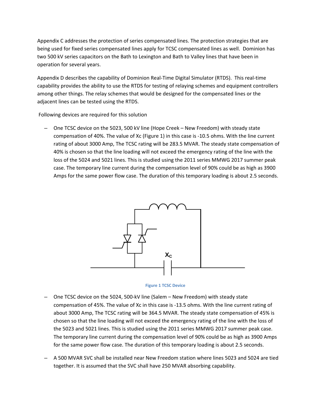Appendix C addresses the protection of series compensated lines. The protection strategies that are being used for fixed series compensated lines apply for TCSC compensated lines as well. Dominion has two 500 kV series capacitors on the Bath to Lexington and Bath to Valley lines that have been in operation for several years.

Appendix D describes the capability of Dominion Real‐Time Digital Simulator (RTDS). This real‐time capability provides the ability to use the RTDS for testing of relaying schemes and equipment controllers among other things. The relay schemes that would be designed for the compensated lines or the adjacent lines can be tested using the RTDS.

Following devices are required for this solution

– One TCSC device on the 5023, 500 kV line (Hope Creek – New Freedom) with steady state compensation of 40%. The value of Xc (Figure 1) in this case is ‐10.5 ohms. With the line current rating of about 3000 Amp, The TCSC rating will be 283.5 MVAR. The steady state compensation of 40% is chosen so that the line loading will not exceed the emergency rating of the line with the loss of the 5024 and 5021 lines. This is studied using the 2011 series MMWG 2017 summer peak case. The temporary line current during the compensation level of 90% could be as high as 3900 Amps for the same power flow case. The duration of this temporary loading is about 2.5 seconds.



**Figure 1 TCSC Device**

- One TCSC device on the 5024, 500‐kV line (Salem New Freedom) with steady state compensation of 45%. The value of Xc in this case is ‐13.5 ohms. With the line current rating of about 3000 Amp, The TCSC rating will be 364.5 MVAR. The steady state compensation of 45% is chosen so that the line loading will not exceed the emergency rating of the line with the loss of the 5023 and 5021 lines. This is studied using the 2011 series MMWG 2017 summer peak case. The temporary line current during the compensation level of 90% could be as high as 3900 Amps for the same power flow case. The duration of this temporary loading is about 2.5 seconds.
- A 500 MVAR SVC shall be installed near New Freedom station where lines 5023 and 5024 are tied together. It is assumed that the SVC shall have 250 MVAR absorbing capability.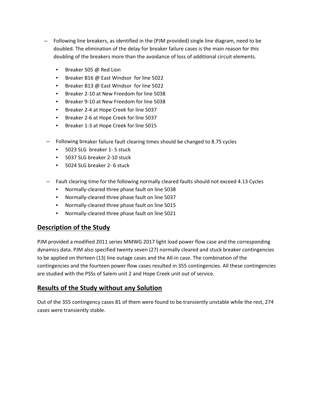- Following line breakers, as identified in the (PJM provided) single line diagram, need to be doubled. The elimination of the delay for breaker failure cases is the main reason for this doubling of the breakers more than the avoidance of loss of additional circuit elements.
	- Breaker 505 @ Red Lion
	- Breaker B16 @ East Windsor for line 5022
	- Breaker B13 @ East Windsor for line 5022
	- Breaker 2‐10 at New Freedom for line 5038
	- Breaker 9‐10 at New Freedom for line 5038
	- Breaker 2‐4 at Hope Creek for line 5037
	- Breaker 2‐6 at Hope Creek for line 5037
	- Breaker 1‐3 at Hope Creek for line 5015
- Following breaker failure fault clearing times should be changed to 8.75 cycles
	- 5023 SLG breaker 1-5 stuck
	- 5037 SLG breaker 2‐10 stuck
	- 5024 SLG breaker 2-6 stuck
- Fault clearing time for the following normally cleared faults should not exceed 4.13 Cycles
	- Normally‐cleared three phase fault on line 5038
	- Normally‐cleared three phase fault on line 5037
	- Normally-cleared three phase fault on line 5015
	- Normally‐cleared three phase fault on line 5021

#### **Description of the Study**

PJM provided a modified 2011 series MMWG 2017 light load power flow case and the corresponding dynamics data. PJM also specified twenty seven (27) normally cleared and stuck breaker contingencies to be applied on thirteen (13) line outage cases and the All-in case. The combination of the contingencies and the fourteen power flow cases resulted in 355 contingencies. All these contingencies are studied with the PSSs of Salem unit 2 and Hope Creek unit out of service.

### **Results of the Study without any Solution**

Out of the 355 contingency cases 81 of them were found to be transiently unstable while the rest, 274 cases were transiently stable.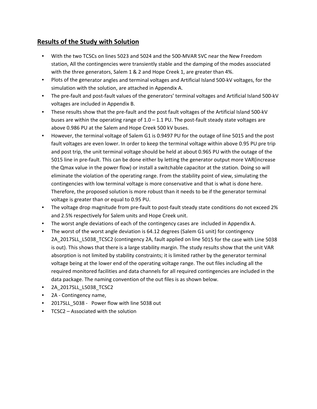#### **Results of the Study with Solution**

- With the two TCSCs on lines 5023 and 5024 and the 500-MVAR SVC near the New Freedom station, All the contingencies were transiently stable and the damping of the modes associated with the three generators, Salem 1 & 2 and Hope Creek 1, are greater than 4%.
- Plots of the generator angles and terminal voltages and Artificial Island 500-kV voltages, for the simulation with the solution, are attached in Appendix A.
- The pre-fault and post-fault values of the generators' terminal voltages and Artificial Island 500-kV voltages are included in Appendix B.
- These results show that the pre-fault and the post fault voltages of the Artificial Island 500-kV buses are within the operating range of  $1.0 - 1.1$  PU. The post-fault steady state voltages are above 0.986 PU at the Salem and Hope Creek 500 kV buses.
- However, the terminal voltage of Salem G1 is 0.9497 PU for the outage of line 5015 and the post fault voltages are even lower. In order to keep the terminal voltage within above 0.95 PU pre trip and post trip, the unit terminal voltage should be held at about 0.965 PU with the outage of the 5015 line in pre-fault. This can be done either by letting the generator output more VAR(increase the Qmax value in the power flow) or install a switchable capacitor at the station. Doing so will eliminate the violation of the operating range. From the stability point of view, simulating the contingencies with low terminal voltage is more conservative and that is what is done here. Therefore, the proposed solution is more robust than it needs to be if the generator terminal voltage is greater than or equal to 0.95 PU.
- The voltage drop magnitude from pre-fault to post-fault steady state conditions do not exceed 2% and 2.5% respectively for Salem units and Hope Creek unit.
- The worst angle deviations of each of the contingency cases are included in Appendix A.
- The worst of the worst angle deviation is 64.12 degrees (Salem G1 unit) for contingency 2A 2017SLL L5038 TCSC2 (contingency 2A, fault applied on line 5015 for the case with Line 5038 is out). This shows that there is a large stability margin. The study results show that the unit VAR absorption is not limited by stability constraints; it is limited rather by the generator terminal voltage being at the lower end of the operating voltage range. The out files including all the required monitored facilities and data channels for all required contingencies are included in the data package. The naming convention of the out files is as shown below.
- 2A\_2017SLL\_L5038\_TCSC2
- 2A Contingency name,
- 2017SLL 5038 Power flow with line 5038 out
- TCSC2 Associated with the solution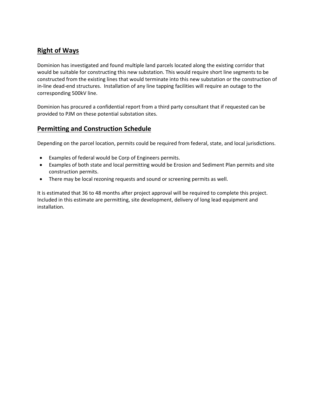#### **Right of Ways**

Dominion has investigated and found multiple land parcels located along the existing corridor that would be suitable for constructing this new substation. This would require short line segments to be constructed from the existing lines that would terminate into this new substation or the construction of in‐line dead‐end structures. Installation of any line tapping facilities will require an outage to the corresponding 500kV line.

Dominion has procured a confidential report from a third party consultant that if requested can be provided to PJM on these potential substation sites.

#### **Permitting and Construction Schedule**

Depending on the parcel location, permits could be required from federal, state, and local jurisdictions.

- Examples of federal would be Corp of Engineers permits.
- Examples of both state and local permitting would be Erosion and Sediment Plan permits and site construction permits.
- There may be local rezoning requests and sound or screening permits as well.

It is estimated that 36 to 48 months after project approval will be required to complete this project. Included in this estimate are permitting, site development, delivery of long lead equipment and installation.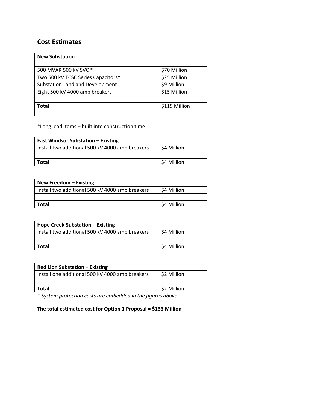#### **Cost Estimates**

| <b>New Substation</b>              |               |
|------------------------------------|---------------|
| 500 MVAR 500 kV SVC *              | \$70 Million  |
| Two 500 kV TCSC Series Capacitors* | \$25 Million  |
| Substation Land and Development    | \$9 Million   |
| Eight 500 kV 4000 amp breakers     | \$15 Million  |
|                                    |               |
| Total                              | \$119 Million |

\*Long lead items – built into construction time

| <b>East Windsor Substation - Existing</b>       |             |
|-------------------------------------------------|-------------|
| Install two additional 500 kV 4000 amp breakers | \$4 Million |
|                                                 |             |
| <b>Total</b>                                    | \$4 Million |

| New Freedom $-$ Existing                        |             |
|-------------------------------------------------|-------------|
| Install two additional 500 kV 4000 amp breakers | \$4 Million |
|                                                 |             |
| Total                                           | \$4 Million |

| Hope Creek Substation – Existing                |             |
|-------------------------------------------------|-------------|
| Install two additional 500 kV 4000 amp breakers | \$4 Million |
|                                                 |             |
| Total                                           | \$4 Million |

| <b>Red Lion Substation - Existing</b>           |             |
|-------------------------------------------------|-------------|
| Install one additional 500 kV 4000 amp breakers | \$2 Million |
|                                                 |             |
| Total                                           | \$2 Million |

*\* System protection costs are embedded in the figures above*

#### **The total estimated cost for Option 1 Proposal = \$133 Million**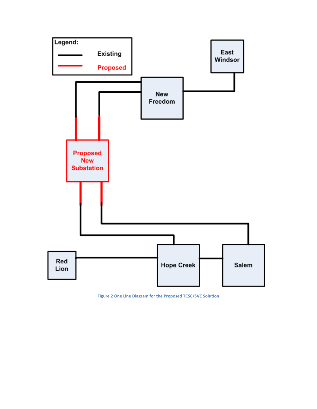

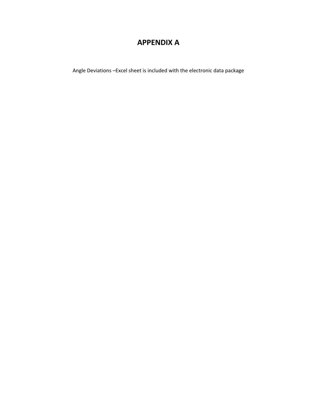## **APPENDIX A**

Angle Deviations –Excel sheet is included with the electronic data package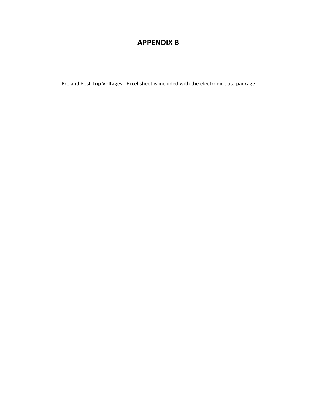## **APPENDIX B**

Pre and Post Trip Voltages ‐ Excel sheet is included with the electronic data package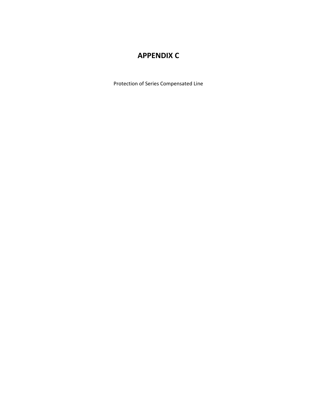## **APPENDIX C**

Protection of Series Compensated Line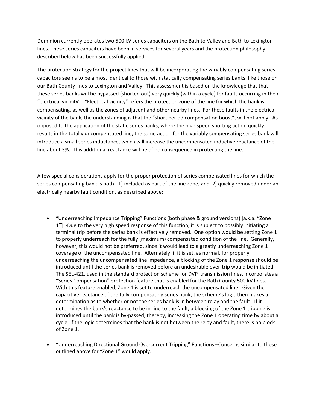Dominion currently operates two 500 kV series capacitors on the Bath to Valley and Bath to Lexington lines. These series capacitors have been in services for several years and the protection philosophy described below has been successfully applied.

The protection strategy for the project lines that will be incorporating the variably compensating series capacitors seems to be almost identical to those with statically compensating series banks, like those on our Bath County lines to Lexington and Valley. This assessment is based on the knowledge that that these series banks will be bypassed (shorted out) very quickly (within a cycle) for faults occurring in their "electrical vicinity". "Electrical vicinity" refers the protection zone of the line for which the bank is compensating, as well as the zones of adjacent and other nearby lines. For these faults in the electrical vicinity of the bank, the understanding is that the "short period compensation boost", will not apply. As opposed to the application of the static series banks, where the high speed shorting action quickly results in the totally uncompensated line, the same action for the variably compensating series bank will introduce a small series inductance, which will increase the uncompensated inductive reactance of the line about 3%. This additional reactance will be of no consequence in protecting the line.

A few special considerations apply for the proper protection of series compensated lines for which the series compensating bank is both: 1) included as part of the line zone, and 2) quickly removed under an electrically nearby fault condition, as described above:

- "Underreaching Impedance Tripping" Functions (both phase & ground versions) [a.k.a. "Zone 1"] -Due to the very high speed response of this function, it is subject to possibly initiating a terminal trip before the series bank is effectively removed. One option would be setting Zone 1 to properly underreach for the fully (maximum) compensated condition of the line. Generally, however, this would not be preferred, since it would lead to a greatly underreaching Zone 1 coverage of the uncompensated line. Alternately, if it is set, as normal, for properly underreaching the uncompensated line impedance, a blocking of the Zone 1 response should be introduced until the series bank is removed before an undesirable over-trip would be initiated. The SEL‐421, used in the standard protection scheme for DVP transmission lines, incorporates a "Series Compensation" protection feature that is enabled for the Bath County 500 kV lines. With this feature enabled, Zone 1 is set to underreach the uncompensated line. Given the capacitive reactance of the fully compensating series bank; the scheme's logic then makes a determination as to whether or not the series bank is in between relay and the fault. If it determines the bank's reactance to be in‐line to the fault, a blocking of the Zone 1 tripping is introduced until the bank is by‐passed, thereby, increasing the Zone 1 operating time by about a cycle. If the logic determines that the bank is not between the relay and fault, there is no block of Zone 1.
- "Underreaching Directional Ground Overcurrent Tripping" Functions –Concerns similar to those outlined above for "Zone 1" would apply.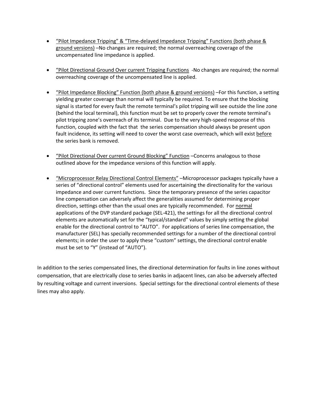- "Pilot Impedance Tripping" & "Time-delayed Impedance Tripping" Functions (both phase & ground versions) –No changes are required; the normal overreaching coverage of the uncompensated line impedance is applied.
- "Pilot Directional Ground Over current Tripping Functions -No changes are required; the normal overreaching coverage of the uncompensated line is applied.
- "Pilot Impedance Blocking" Function (both phase & ground versions) –For this function, a setting yielding greater coverage than normal will typically be required. To ensure that the blocking signal is started for every fault the remote terminal's pilot tripping will see outside the line zone (behind the local terminal), this function must be set to properly cover the remote terminal's pilot tripping zone's overreach of its terminal. Due to the very high‐speed response of this function, coupled with the fact that the series compensation should always be present upon fault incidence, its setting will need to cover the worst case overreach, which will exist before the series bank is removed.
- "Pilot Directional Over current Ground Blocking" Function Concerns analogous to those outlined above for the impedance versions of this function will apply.
- "Microprocessor Relay Directional Control Elements" –Microprocessor packages typically have a series of "directional control" elements used for ascertaining the directionality for the various impedance and over current functions. Since the temporary presence of the series capacitor line compensation can adversely affect the generalities assumed for determining proper direction, settings other than the usual ones are typically recommended. For normal applications of the DVP standard package (SEL‐421), the settings for all the directional control elements are automatically set for the "typical/standard" values by simply setting the global enable for the directional control to "AUTO". For applications of series line compensation, the manufacturer (SEL) has specially recommended settings for a number of the directional control elements; in order the user to apply these "custom" settings, the directional control enable must be set to "Y" (instead of "AUTO").

In addition to the series compensated lines, the directional determination for faults in line zones without compensation, that are electrically close to series banks in adjacent lines, can also be adversely affected by resulting voltage and current inversions. Special settings for the directional control elements of these lines may also apply.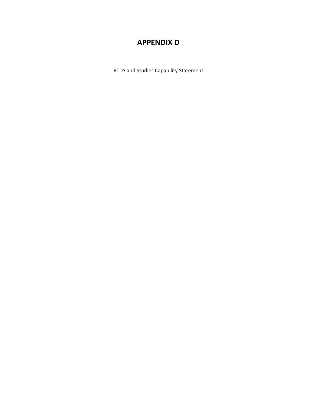## **APPENDIX D**

RTDS and Studies Capability Statement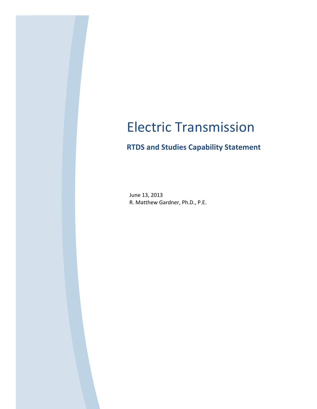# Electric Transmission

## **RTDS and Studies Capability Statement**

June 13, 2013 R. Matthew Gardner, Ph.D., P.E.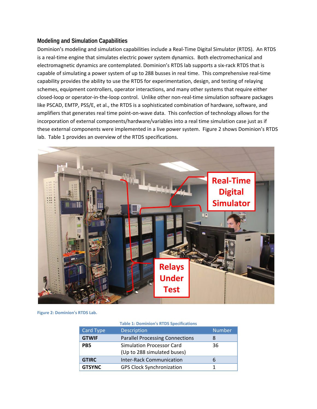#### **Modeling and Simulation Capabilities**

Dominion's modeling and simulation capabilities include a Real‐Time Digital Simulator (RTDS). An RTDS is a real-time engine that simulates electric power system dynamics. Both electromechanical and electromagnetic dynamics are contemplated. Dominion's RTDS lab supports a six‐rack RTDS that is capable of simulating a power system of up to 288 busses in real time. This comprehensive real‐time capability provides the ability to use the RTDS for experimentation, design, and testing of relaying schemes, equipment controllers, operator interactions, and many other systems that require either closed‐loop or operator‐in‐the‐loop control. Unlike other non‐real‐time simulation software packages like PSCAD, EMTP, PSS/E, et al., the RTDS is a sophisticated combination of hardware, software, and amplifiers that generates real time point-on-wave data. This confection of technology allows for the incorporation of external components/hardware/variables into a real time simulation case just as if these external components were implemented in a live power system. Figure 2 shows Dominion's RTDS lab. Table 1 provides an overview of the RTDS specifications.



#### **Figure 2: Dominion's RTDS Lab.**

|                  | <b>Table 1: Dominion's RTDS Specifications</b>                  |               |
|------------------|-----------------------------------------------------------------|---------------|
| <b>Card Type</b> | <b>Description</b>                                              | <b>Number</b> |
| <b>GTWIF</b>     | <b>Parallel Processing Connections</b>                          | 8             |
| PB <sub>5</sub>  | <b>Simulation Processor Card</b><br>(Up to 288 simulated buses) | 36            |
| <b>GTIRC</b>     | <b>Inter-Rack Communication</b>                                 | b             |
| <b>GTSYNC</b>    | <b>GPS Clock Synchronization</b>                                |               |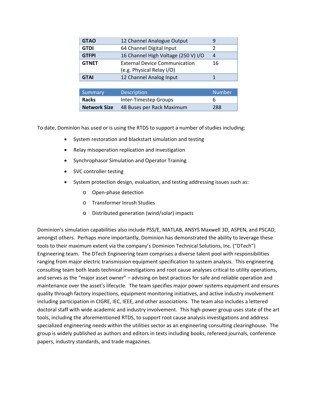| <b>GTAO</b>  | 12 Channel Analogue Output                                        | ч  |
|--------------|-------------------------------------------------------------------|----|
| <b>GTDI</b>  | 64 Channel Digital Input                                          |    |
| <b>GTFPI</b> | 16 Channel High Voltage (250 V) I/O                               | 4  |
| <b>GTNET</b> | <b>External Device Communication</b><br>(e.g. Physical Relay I/O) | 16 |
| <b>GTAI</b>  | 12 Channel Analog Input                                           |    |

| Summary             | <b>Description</b>        | <b>Number</b> |
|---------------------|---------------------------|---------------|
| <b>Racks</b>        | Inter-Timestep Groups     | ь             |
| <b>Network Size</b> | 48 Buses per Rack Maximum | 288           |

To date, Dominion has used or is using the RTDS to support a number of studies including:

- System restoration and blackstart simulation and testing
- Relay misoperation replication and investigation
- **•** Synchrophasor Simulation and Operator Training
- SVC controller testing
- System protection design, evaluation, and testing addressing issues such as:
	- o Open‐phase detection
	- o Transformer Inrush Studies
	- o Distributed generation (wind/solar) impacts

Dominion's simulation capabilities also include PSS/E, MATLAB, ANSYS Maxwell 3D, ASPEN, and PSCAD, amongst others. Perhaps more importantly, Dominion has demonstrated the ability to leverage these tools to their maximum extent via the company's Dominion Technical Solutions, Inc. ("DTech") Engineering team. The DTech Engineering team comprises a diverse talent pool with responsibilities ranging from major electric transmission equipment specification to system analysis. This engineering consulting team both leads technical investigations and root cause analyses critical to utility operations, and serves as the "major asset owner" – advising on best practices for safe and reliable operation and maintenance over the asset's lifecycle. The team specifies major power systems equipment and ensures quality through factory inspections, equipment monitoring initiatives, and active industry involvement including participation in CIGRE, IEC, IEEE, and other associations. The team also includes a lettered doctoral staff with wide academic and industry involvement. This high‐power group uses state of the art tools, including the aforementioned RTDS, to support root cause analysis investigations and address specialized engineering needs within the utilities sector as an engineering consulting clearinghouse. The group is widely published as authors and editors in texts including books, refereed journals, conference papers, industry standards, and trade magazines.